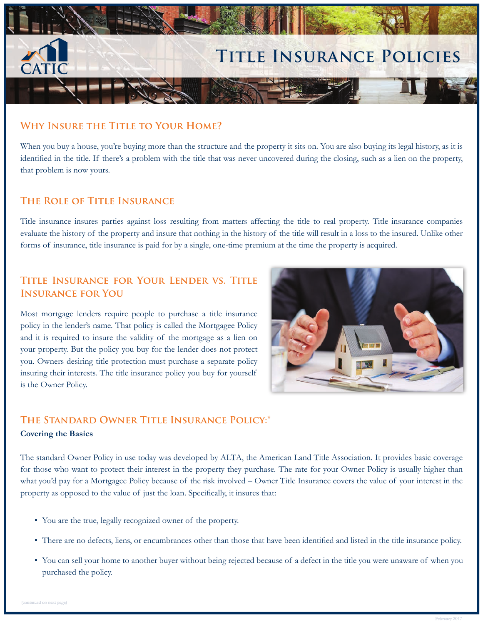

## **WHY INSURE THE TITLE TO YOUR HOME?**

When you buy a house, you're buying more than the structure and the property it sits on. You are also buying its legal history, as it is identified in the title. If there's a problem with the title that was never uncovered during the closing, such as a lien on the property, that problem is now yours.

## **THE ROLE OF TITLE INSURANCE**

Title insurance insures parties against loss resulting from matters affecting the title to real property. Title insurance companies evaluate the history of the property and insure that nothing in the history of the title will result in a loss to the insured. Unlike other forms of insurance, title insurance is paid for by a single, one-time premium at the time the property is acquired.

# **TITLE INSURANCE FOR YOUR LENDER VS. TITLE INSURANCE FOR YOU**

Most mortgage lenders require people to purchase a title insurance policy in the lender's name. That policy is called the Mortgagee Policy and it is required to insure the validity of the mortgage as a lien on your property. But the policy you buy for the lender does not protect you. Owners desiring title protection must purchase a separate policy insuring their interests. The title insurance policy you buy for yourself is the Owner Policy.



# THE STANDARD OWNER TITLE INSURANCE POLICY:\*

## **Covering the Basics**

The standard Owner Policy in use today was developed by ALTA, the American Land Title Association. It provides basic coverage for those who want to protect their interest in the property they purchase. The rate for your Owner Policy is usually higher than what you'd pay for a Mortgagee Policy because of the risk involved – Owner Title Insurance covers the value of your interest in the property as opposed to the value of just the loan. Specifically, it insures that:

- You are the true, legally recognized owner of the property.
- There are no defects, liens, or encumbrances other than those that have been identified and listed in the title insurance policy.
- You can sell your home to another buyer without being rejected because of a defect in the title you were unaware of when you purchased the policy.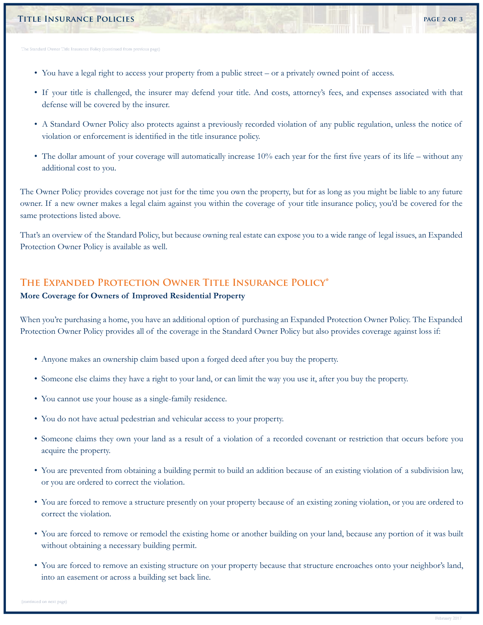#### **TITLE INSURANCE POLICIES** 2 OF 3

rd Owner Title Insurance Policy (continued from previous page)

- You have a legal right to access your property from a public street or a privately owned point of access.
- If your title is challenged, the insurer may defend your title. And costs, attorney's fees, and expenses associated with that defense will be covered by the insurer.
- A Standard Owner Policy also protects against a previously recorded violation of any public regulation, unless the notice of violation or enforcement is identified in the title insurance policy.
- The dollar amount of your coverage will automatically increase 10% each year for the first five years of its life without any additional cost to you.

The Owner Policy provides coverage not just for the time you own the property, but for as long as you might be liable to any future owner. If a new owner makes a legal claim against you within the coverage of your title insurance policy, you'd be covered for the same protections listed above.

That's an overview of the Standard Policy, but because owning real estate can expose you to a wide range of legal issues, an Expanded Protection Owner Policy is available as well.

## THE EXPANDED PROTECTION OWNER TITLE INSURANCE POLICY<sup>\*</sup>

#### **More Coverage for Owners of Improved Residential Property**

When you're purchasing a home, you have an additional option of purchasing an Expanded Protection Owner Policy. The Expanded Protection Owner Policy provides all of the coverage in the Standard Owner Policy but also provides coverage against loss if:

- Anyone makes an ownership claim based upon a forged deed after you buy the property.
- Someone else claims they have a right to your land, or can limit the way you use it, after you buy the property.
- You cannot use your house as a single-family residence.
- You do not have actual pedestrian and vehicular access to your property.
- Someone claims they own your land as a result of a violation of a recorded covenant or restriction that occurs before you acquire the property.
- You are prevented from obtaining a building permit to build an addition because of an existing violation of a subdivision law, or you are ordered to correct the violation.
- You are forced to remove a structure presently on your property because of an existing zoning violation, or you are ordered to correct the violation.
- You are forced to remove or remodel the existing home or another building on your land, because any portion of it was built without obtaining a necessary building permit.
- You are forced to remove an existing structure on your property because that structure encroaches onto your neighbor's land, into an easement or across a building set back line.